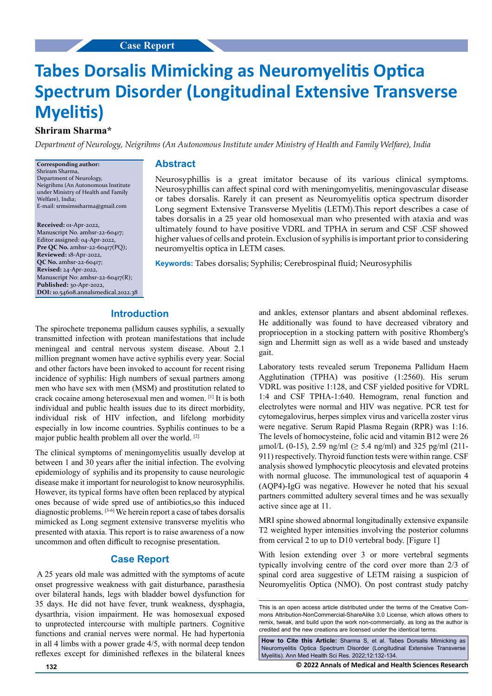# **Tabes Dorsalis Mimicking as Neuromyelitis Optica Spectrum Disorder (Longitudinal Extensive Transverse Myelitis)**

# **Shriram Sharma\***

*Department of Neurology, Neigrihms (An Autonomous Institute under Ministry of Health and Family Welfare), India*

**Corresponding author:** Shriram Sharma, Department of Neurology, Neigrihms (An Autonomous Institute under Ministry of Health and Family Welfare), India; E-mail: [srmsimssharma@gmail.com](mailto:srmsimssharma@gmail.com)

**Received:** 01-Apr-2022, Manuscript No. amhsr-22-60417; Editor assigned: 04-Apr-2022, **Pre QC No.** amhsr-22-60417(PQ); **Reviewed:** 18-Apr-2022, **QC No.** amhsr-22-60417; **Revised:** 24-Apr-2022, Manuscript No: amhsr-22-60417(R); **Published:** 30-Apr-2022, **DOI:** 10.54608.annalsmedical.2022.38

#### **Abstract**

Neurosyphillis is a great imitator because of its various clinical symptoms. Neurosyphillis can affect spinal cord with meningomyelitis, meningovascular disease or tabes dorsalis. Rarely it can present as Neuromyelitis optica spectrum disorder Long segment Extensive Transverse Myelitis (LETM).This report describes a case of tabes dorsalis in a 25 year old homosexual man who presented with ataxia and was ultimately found to have positive VDRL and TPHA in serum and CSF .CSF showed higher values of cells and protein. Exclusion of syphilis is important prior to considering neuromyeltis optica in LETM cases.

**Keywords:** Tabes dorsalis; Syphilis; Cerebrospinal fluid; Neurosyphilis

# **Introduction**

The spirochete treponema pallidum causes syphilis, a sexually transmitted infection with protean manifestations that include meningeal and central nervous system disease. About 2.1 million pregnant women have active syphilis every year. Social and other factors have been invoked to account for recent rising incidence of syphilis: High numbers of sexual partners among men who have sex with men (MSM) and prostitution related to crack cocaine among heterosexual men and women. [1] It is both individual and public health issues due to its direct morbidity, individual risk of HIV infection, and lifelong morbidity especially in low income countries. Syphilis continues to be a major public health problem all over the world. [2]

The clinical symptoms of meningomyelitis usually develop at between 1 and 30 years after the initial infection. The evolving epidemiology of syphilis and its propensity to cause neurologic disease make it important for neurologist to know neurosyphilis. However, its typical forms have often been replaced by atypical ones because of wide spred use of antibiotics,so this induced diagnostic problems. [3-6] We herein report a case of tabes dorsalis mimicked as Long segment extensive transverse myelitis who presented with ataxia. This report is to raise awareness of a now uncommon and often difficult to recognise presentation.

### **Case Report**

 A 25 years old male was admitted with the symptoms of acute onset progressive weakness with gait disturbance, parasthesia over bilateral hands, legs with bladder bowel dysfunction for 35 days. He did not have fever, trunk weakness, dysphagia, dysarthria, vision impairment. He was homosexual exposed to unprotected intercourse with multiple partners. Cognitive functions and cranial nerves were normal. He had hypertonia in all 4 limbs with a power grade 4/5, with normal deep tendon reflexes except for diminished reflexes in the bilateral knees and ankles, extensor plantars and absent abdominal reflexes. He additionally was found to have decreased vibratory and proprioception in a stocking pattern with positive Rhomberg's sign and Lhermitt sign as well as a wide based and unsteady gait.

Laboratory tests revealed serum Treponema Pallidum Haem Agglutination (TPHA) was positive (1:2560). His serum VDRL was positive 1:128, and CSF yielded positive for VDRL 1:4 and CSF TPHA-1:640. Hemogram, renal function and electrolytes were normal and HIV was negative. PCR test for cytomegalovirus, herpes simplex virus and varicella zoster virus were negative. Serum Rapid Plasma Regain (RPR) was 1:16. The levels of homocysteine, folic acid and vitamin B12 were 26 µmol/L (0-15), 2.59 ng/ml (≥ 5.4 ng/ml) and 325 pg/ml (211-911) respectively. Thyroid function tests were within range. CSF analysis showed lymphocytic pleocytosis and elevated proteins with normal glucose. The immunological test of aquaporin 4 (AQP4)-IgG was negative. However he noted that his sexual partners committed adultery several times and he was sexually active since age at 11.

MRI spine showed abnormal longitudinally extensive expansile T2 weighted hyper intensities involving the posterior columns from cervical 2 to up to D10 vertebral body. [Figure 1]

With lesion extending over 3 or more vertebral segments typically involving centre of the cord over more than 2/3 of spinal cord area suggestive of LETM raising a suspicion of Neuromyelitis Optica (NMO). On post contrast study patchy

**How to Cite this Article:** Sharma S, et al. Tabes Dorsalis Mimicking as Neuromyelitis Optica Spectrum Disorder (Longitudinal Extensive Transverse Myelitis). Ann Med Health Sci Res. 2022;12:132-134.

**132 © 2022 Annals of Medical and Health Sciences Research** 

This is an open access article distributed under the terms of the Creative Commons Attribution-NonCommercial-ShareAlike 3.0 License, which allows others to remix, tweak, and build upon the work non‑commercially, as long as the author is credited and the new creations are licensed under the identical terms.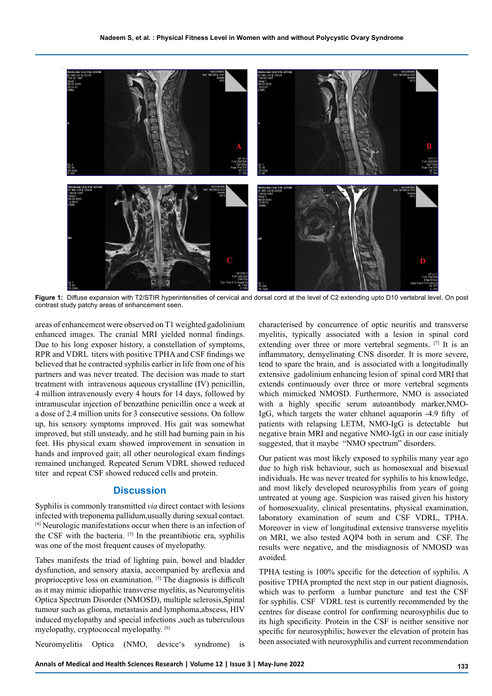

**Figure 1:** Diffuse expansion with T2/STIR hyperintensities of cervical and dorsal cord at the level of C2 extending upto D10 vertebral level. On post contrast study patchy areas of enhancement seen.

areas of enhancement were observed on T1 weighted gadolinium enhanced images. The cranial MRI yielded normal findings. Due to his long exposer history, a constellation of symptoms, RPR and VDRL titers with positive TPHA and CSF findings we believed that he contracted syphilis earlier in life from one of his partners and was never treated. The decision was made to start treatment with intravenous aqueous crystalline (IV) penicillin, 4 million intravenously every 4 hours for 14 days, followed by intramuscular injection of benzathine penicillin once a week at a dose of 2.4 million units for 3 consecutive sessions. On follow up, his sensory symptoms improved. His gait was somewhat improved, but still unsteady, and he still had burning pain in his feet. His physical exam showed improvement in sensation in hands and improved gait; all other neurological exam findings remained unchanged. Repeated Serum VDRL showed reduced titer and repeat CSF showed reduced cells and protein.

## **Discussion**

Syphilis is commonly transmitted *via* direct contact with lesions infected with treponema pallidum,usually during sexual contact. [4] Neurologic manifestations occur when there is an infection of the CSF with the bacteria. [5] In the preantibiotic era, syphilis was one of the most frequent causes of myelopathy.

Tabes manifests the triad of lighting pain, bowel and bladder dysfunction, and sensory ataxia, accompanied by areflexia and proprioceptive loss on examination. [5] The diagnosis is difficult as it may mimic idiopathic transverse myelitis, as Neuromyelitis Optica Spectrum Disorder (NMOSD), multiple sclerosis,Spinal tumour such as glioma, metastasis and lymphoma,abscess, HIV induced myelopathy and special infections ,such as tuberculous myelopathy, cryptococcal myelopathy. [6]

Neuromyelitis Optica (NMO, device's syndrome) is

characterised by concurrence of optic neuritis and transverse myelitis, typically associated with a lesion in spinal cord extending over three or more vertebral segments. [7] It is an inflammatory, demyelinating CNS disorder. It is more severe, tend to spare the brain, and is associated with a longitudinally extensive gadolinium enhancing lesion of spinal cord MRI that extends continuously over three or more vertebral segments which mimicked NMOSD. Furthermore, NMO is associated with a highly specific serum autoantibody marker,NMO-IgG, which targets the water chhanel aquaporin -4.9 fifty of patients with relapsing LETM, NMO-IgG is detectable but negative brain MRI and negative NMO-IgG in our case initialy suggested, that it maybe "NMO spectrum" disorders.

Our patient was most likely exposed to syphilis many year ago due to high risk behaviour, such as homosexual and bisexual individuals. He was never treated for syphilis to his knowledge, and most likely developed neurosyphilis from years of going untreated at young age. Suspicion was raised given his history of homosexuality, clinical presentatins, physical examination, laboratory examination of seum and CSF VDRL, TPHA. Moreover in view of longitudinal extensive transverse myelitis on MRI, we also tested AQP4 both in serum and CSF. The results were negative, and the misdiagnosis of NMOSD was avoided.

TPHA testing is 100% specific for the detection of syphilis. A positive TPHA prompted the next step in our patient diagnosis, which was to perform a lumbar puncture and test the CSF for syphilis. CSF VDRL test is currently recommended by the centres for disease control for confirming neurosyphilis due to its high specificity. Protein in the CSF is neither sensitive nor specific for neurosyphilis; however the elevation of protein has been associated with neurosyphilis and current recommendation